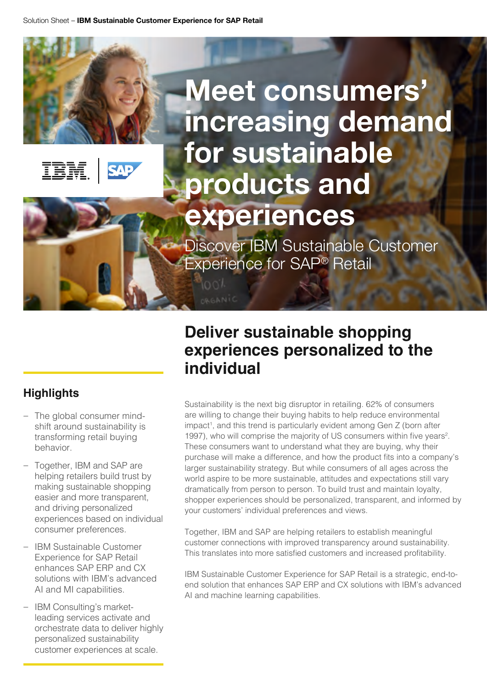



# **Meet consumers' increasing demand for sustainable products and experiences**

Discover IBM Sustainable Customer Experience for SAP® Retail

looi

*<u>RGANIC</u>* 

### **Highlights**

- The global consumer mindshift around sustainability is transforming retail buying behavior.
- Together, IBM and SAP are helping retailers build trust by making sustainable shopping easier and more transparent, and driving personalized experiences based on individual consumer preferences.
- IBM Sustainable Customer Experience for SAP Retail enhances SAP ERP and CX solutions with IBM's advanced AI and MI capabilities.
- IBM Consulting's marketleading services activate and orchestrate data to deliver highly personalized sustainability customer experiences at scale.

### **Deliver sustainable shopping experiences personalized to the individual**

Sustainability is the next big disruptor in retailing. 62% of consumers are willing to change their buying habits to help reduce environmental impact<sup>1</sup>, and this trend is particularly evident among Gen Z (born after 1997), who will comprise the majority of US consumers within five years<sup>2</sup>. These consumers want to understand what they are buying, why their purchase will make a difference, and how the product fits into a company's larger sustainability strategy. But while consumers of all ages across the world aspire to be more sustainable, attitudes and expectations still vary dramatically from person to person. To build trust and maintain loyalty, shopper experiences should be personalized, transparent, and informed by your customers' individual preferences and views.

Together, IBM and SAP are helping retailers to establish meaningful customer connections with improved transparency around sustainability. This translates into more satisfied customers and increased profitability.

IBM Sustainable Customer Experience for SAP Retail is a strategic, end-toend solution that enhances SAP ERP and CX solutions with IBM's advanced AI and machine learning capabilities.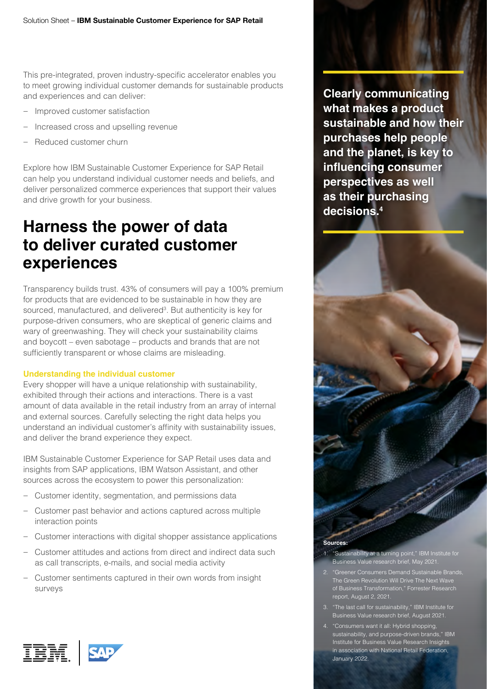This pre-integrated, proven industry-specific accelerator enables you to meet growing individual customer demands for sustainable products and experiences and can deliver:

- Improved customer satisfaction
- Increased cross and upselling revenue
- Reduced customer churn

Explore how IBM Sustainable Customer Experience for SAP Retail can help you understand individual customer needs and beliefs, and deliver personalized commerce experiences that support their values and drive growth for your business.

### **Harness the power of data to deliver curated customer experiences**

Transparency builds trust. 43% of consumers will pay a 100% premium for products that are evidenced to be sustainable in how they are sourced, manufactured, and delivered<sup>3</sup>. But authenticity is key for purpose-driven consumers, who are skeptical of generic claims and wary of greenwashing. They will check your sustainability claims and boycott – even sabotage – products and brands that are not sufficiently transparent or whose claims are misleading.

#### **Understanding the individual customer**

Every shopper will have a unique relationship with sustainability, exhibited through their actions and interactions. There is a vast amount of data available in the retail industry from an array of internal and external sources. Carefully selecting the right data helps you understand an individual customer's affinity with sustainability issues, and deliver the brand experience they expect.

IBM Sustainable Customer Experience for SAP Retail uses data and insights from SAP applications, IBM Watson Assistant, and other sources across the ecosystem to power this personalization:

- Customer identity, segmentation, and permissions data
- Customer past behavior and actions captured across multiple interaction points
- Customer interactions with digital shopper assistance applications
- Customer attitudes and actions from direct and indirect data such as call transcripts, e-mails, and social media activity
- Customer sentiments captured in their own words from insight surveys



**Clearly communicating** 



- 1. "Sustainability at a turning point," IBM Institute for Business Value research brief, May 2021.
- 2. "Greener Consumers Demand Sustainable Brands, of Business Transformation," Forrester Research report, August 2, 2021.
- 3. "The last call for sustainability," IBM Institute for Business Value research brief, August 2021.
- 4. "Consumers want it all: Hybrid shopping, sustainability, and purpose-driven brands," IBM Institute for Business Value Research Insights in association with National Retail Federation, January 2022.

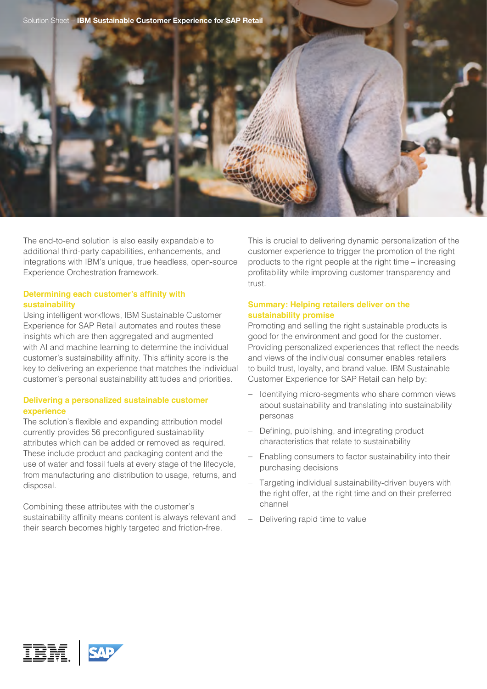



#### **Determining each customer's affinity with sustainability**

Using intelligent workflows, IBM Sustainable Customer Experience for SAP Retail automates and routes these insights which are then aggregated and augmented with AI and machine learning to determine the individual customer's sustainability affinity. This affinity score is the key to delivering an experience that matches the individual customer's personal sustainability attitudes and priorities.

#### **Delivering a personalized sustainable customer experience**

The solution's flexible and expanding attribution model currently provides 56 preconfigured sustainability attributes which can be added or removed as required. These include product and packaging content and the use of water and fossil fuels at every stage of the lifecycle, from manufacturing and distribution to usage, returns, and disposal.

Combining these attributes with the customer's sustainability affinity means content is always relevant and their search becomes highly targeted and friction-free.

This is crucial to delivering dynamic personalization of the customer experience to trigger the promotion of the right products to the right people at the right time – increasing profitability while improving customer transparency and trust.

#### **Summary: Helping retailers deliver on the sustainability promise**

Promoting and selling the right sustainable products is good for the environment and good for the customer. Providing personalized experiences that reflect the needs and views of the individual consumer enables retailers to build trust, loyalty, and brand value. IBM Sustainable Customer Experience for SAP Retail can help by:

- Identifying micro-segments who share common views about sustainability and translating into sustainability personas
- Defining, publishing, and integrating product characteristics that relate to sustainability
- Enabling consumers to factor sustainability into their purchasing decisions
- Targeting individual sustainability-driven buyers with the right offer, at the right time and on their preferred channel
- Delivering rapid time to value

IBM.